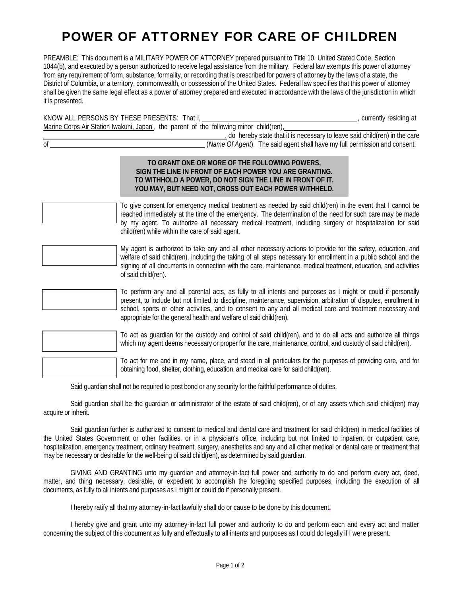## POWER OF ATTORNEY FOR CARE OF CHILDREN

PREAMBLE: This document is a MILITARY POWER OF ATTORNEY prepared pursuant to Title 10, United Stated Code, Section 1044(b), and executed by a person authorized to receive legal assistance from the military. Federal law exempts this power of attorney from any requirement of form, substance, formality, or recording that is prescribed for powers of attorney by the laws of a state, the District of Columbia, or a territory, commonwealth, or possession of the United States. Federal law specifies that this power of attorney shall be given the same legal effect as a power of attorney prepared and executed in accordance with the laws of the jurisdiction in which it is presented.

| KNOW ALL PERSONS BY THESE PRESENTS: That I,                                            | currently residing at |
|----------------------------------------------------------------------------------------|-----------------------|
| Marine Corps Air Station Iwakuni, Japan, the parent of the following minor child(ren), |                       |
| alo kareku stote that it is necessary to leave and abild/real in the serse             |                       |

| 0f | , up thereby state that it is necessary to leave said child(felf) in the care.<br>(Name Of Agent). The said agent shall have my full permission and consent:                                                                                                                                                                                                                                                            |
|----|-------------------------------------------------------------------------------------------------------------------------------------------------------------------------------------------------------------------------------------------------------------------------------------------------------------------------------------------------------------------------------------------------------------------------|
|    | TO GRANT ONE OR MORE OF THE FOLLOWING POWERS,<br>SIGN THE LINE IN FRONT OF EACH POWER YOU ARE GRANTING.<br>TO WITHHOLD A POWER, DO NOT SIGN THE LINE IN FRONT OF IT.<br>YOU MAY, BUT NEED NOT, CROSS OUT EACH POWER WITHHELD.                                                                                                                                                                                           |
|    | To give consent for emergency medical treatment as needed by said child(ren) in the event that I cannot be<br>reached immediately at the time of the emergency. The determination of the need for such care may be made<br>by my agent. To authorize all necessary medical treatment, including surgery or hospitalization for said<br>child(ren) while within the care of said agent.                                  |
|    | My agent is authorized to take any and all other necessary actions to provide for the safety, education, and<br>welfare of said child(ren), including the taking of all steps necessary for enrollment in a public school and the<br>signing of all documents in connection with the care, maintenance, medical treatment, education, and activities<br>of said child(ren).                                             |
|    | To perform any and all parental acts, as fully to all intents and purposes as I might or could if personally<br>present, to include but not limited to discipline, maintenance, supervision, arbitration of disputes, enrollment in<br>school, sports or other activities, and to consent to any and all medical care and treatment necessary and<br>appropriate for the general health and welfare of said child(ren). |
|    | To act as quardian for the custody and control of said child(ren), and to do all acts and authorize all things<br>which my agent deems necessary or proper for the care, maintenance, control, and custody of said child(ren).                                                                                                                                                                                          |
|    | To act for me and in my name, place, and stead in all particulars for the purposes of providing care, and for<br>obtaining food, shelter, clothing, education, and medical care for said child(ren).                                                                                                                                                                                                                    |

Said guardian shall not be required to post bond or any security for the faithful performance of duties.

Said guardian shall be the guardian or administrator of the estate of said child(ren), or of any assets which said child(ren) may acquire or inherit.

Said guardian further is authorized to consent to medical and dental care and treatment for said child(ren) in medical facilities of the United States Government or other facilities, or in a physician's office, including but not limited to inpatient or outpatient care, hospitalization, emergency treatment, ordinary treatment, surgery, anesthetics and any and all other medical or dental care or treatment that may be necessary or desirable for the well-being of said child(ren), as determined by said guardian.

GIVING AND GRANTING unto my guardian and attorney-in-fact full power and authority to do and perform every act, deed, matter, and thing necessary, desirable, or expedient to accomplish the foregoing specified purposes, including the execution of all documents, as fully to all intents and purposes as I might or could do if personally present.

I hereby ratify all that my attorney-in-fact lawfully shall do or cause to be done by this document*.*

I hereby give and grant unto my attorney-in-fact full power and authority to do and perform each and every act and matter concerning the subject of this document as fully and effectually to all intents and purposes as I could do legally if I were present.